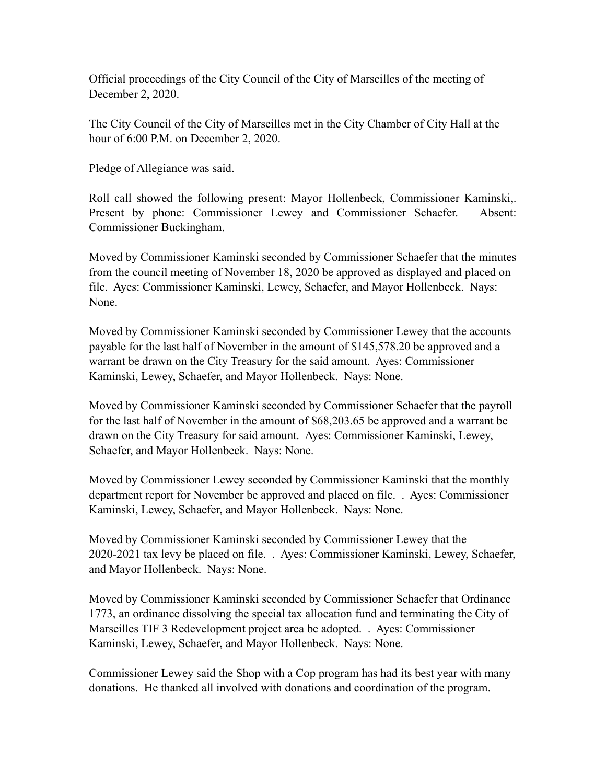Official proceedings of the City Council of the City of Marseilles of the meeting of December 2, 2020.

The City Council of the City of Marseilles met in the City Chamber of City Hall at the hour of 6:00 P.M. on December 2, 2020.

Pledge of Allegiance was said.

Roll call showed the following present: Mayor Hollenbeck, Commissioner Kaminski,. Present by phone: Commissioner Lewey and Commissioner Schaefer. Absent: Commissioner Buckingham.

Moved by Commissioner Kaminski seconded by Commissioner Schaefer that the minutes from the council meeting of November 18, 2020 be approved as displayed and placed on file. Ayes: Commissioner Kaminski, Lewey, Schaefer, and Mayor Hollenbeck. Nays: None.

Moved by Commissioner Kaminski seconded by Commissioner Lewey that the accounts payable for the last half of November in the amount of \$145,578.20 be approved and a warrant be drawn on the City Treasury for the said amount. Ayes: Commissioner Kaminski, Lewey, Schaefer, and Mayor Hollenbeck. Nays: None.

Moved by Commissioner Kaminski seconded by Commissioner Schaefer that the payroll for the last half of November in the amount of \$68,203.65 be approved and a warrant be drawn on the City Treasury for said amount. Ayes: Commissioner Kaminski, Lewey, Schaefer, and Mayor Hollenbeck. Nays: None.

Moved by Commissioner Lewey seconded by Commissioner Kaminski that the monthly department report for November be approved and placed on file. . Ayes: Commissioner Kaminski, Lewey, Schaefer, and Mayor Hollenbeck. Nays: None.

Moved by Commissioner Kaminski seconded by Commissioner Lewey that the 2020-2021 tax levy be placed on file. . Ayes: Commissioner Kaminski, Lewey, Schaefer, and Mayor Hollenbeck. Nays: None.

Moved by Commissioner Kaminski seconded by Commissioner Schaefer that Ordinance 1773, an ordinance dissolving the special tax allocation fund and terminating the City of Marseilles TIF 3 Redevelopment project area be adopted. . Ayes: Commissioner Kaminski, Lewey, Schaefer, and Mayor Hollenbeck. Nays: None.

Commissioner Lewey said the Shop with a Cop program has had its best year with many donations. He thanked all involved with donations and coordination of the program.